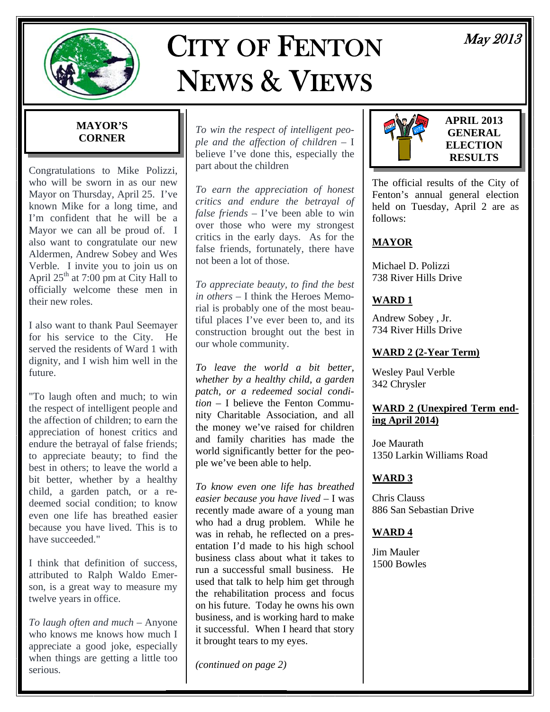

# CITY OF FENTON NEWS & VIEWS

# May 2013

# **MAYOR'S CORNER**

Congratulations to Mike Polizzi, who will be sworn in as our new Mayor on Thursday, April 25. I've known Mike for a long time, and I'm confident that he will be a Mayor we can all be proud of. I also want to congratulate our new Aldermen, Andrew Sobey and Wes Verble. I invite you to join us on April  $25<sup>th</sup>$  at 7:00 pm at City Hall to officially welcome these men in their new roles.

I also want to thank Paul Seemayer for his service to the City. He served the residents of Ward 1 with dignity, and I wish him well in the future.

"To laugh often and much; to win the respect of intelligent people and the affection of children; to earn the appreciation of honest critics and endure the betrayal of false friends; to appreciate beauty; to find the best in others; to leave the world a bit better, whether by a healthy child, a garden patch, or a redeemed social condition; to know even one life has breathed easier because you have lived. This is to have succeeded."

I think that definition of success, attributed to Ralph Waldo Emerson, is a great way to measure my twelve years in office.

*To laugh often and much* – Anyone who knows me knows how much I appreciate a good joke, especially when things are getting a little too serious.

*To win the respect of intelligent people and the affection of children* – I believe I've done this, especially the part about the children

*To earn the appreciation of honest critics and endure the betrayal of false friends* – I've been able to win over those who were my strongest critics in the early days. As for the false friends, fortunately, there have not been a lot of those.

*To appreciate beauty, to find the best in others* – I think the Heroes Memorial is probably one of the most beautiful places I've ever been to, and its construction brought out the best in our whole community.

*To leave the world a bit better, whether by a healthy child, a garden patch, or a redeemed social condition* – I believe the Fenton Community Charitable Association, and all the money we've raised for children and family charities has made the world significantly better for the people we've been able to help.

*To know even one life has breathed easier because you have lived* – I was recently made aware of a young man who had a drug problem. While he was in rehab, he reflected on a presentation I'd made to his high school business class about what it takes to run a successful small business. He used that talk to help him get through the rehabilitation process and focus on his future. Today he owns his own business, and is working hard to make it successful. When I heard that story it brought tears to my eyes.

*(continued on page 2)* 



**APRIL 2013 GENERAL ELECTION RESULTS** 

The official results of the City of Fenton's annual general election held on Tuesday, April 2 are as follows:

# **MAYOR**

Michael D. Polizzi 738 River Hills Drive

# **WARD 1**

Andrew Sobey , Jr. 734 River Hills Drive

# **WARD 2 (2-Year Term)**

Wesley Paul Verble 342 Chrysler

# **WARD 2 (Unexpired Term ending April 2014)**

Joe Maurath 1350 Larkin Williams Road

# **WARD 3**

Chris Clauss 886 San Sebastian Drive

# **WARD 4**

Jim Mauler 1500 Bowles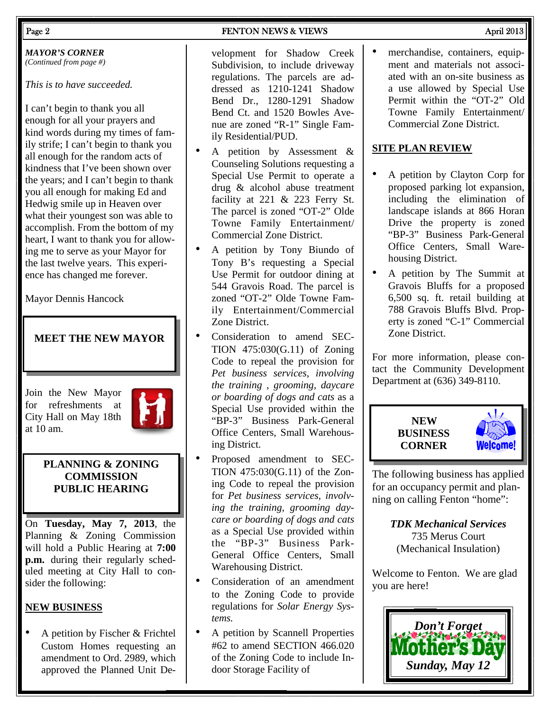*MAYOR'S CORNER (Continued from page #)* 

*This is to have succeeded.*

I can't begin to thank you all enough for all your prayers and kind words during my times of family strife; I can't begin to thank you all enough for the random acts of kindness that I've been shown over the years; and I can't begin to thank you all enough for making Ed and Hedwig smile up in Heaven over what their youngest son was able to accomplish. From the bottom of my heart, I want to thank you for allowing me to serve as your Mayor for the last twelve years. This experience has changed me forever.

Mayor Dennis Hancock

# **MEET THE NEW MAYOR**

Join the New Mayor for refreshments at City Hall on May 18th at 10 am.



### **PLANNING & ZONING COMMISSION PUBLIC HEARING**

On **Tuesday, May 7, 2013**, the Planning & Zoning Commission will hold a Public Hearing at **7:00 p.m.** during their regularly scheduled meeting at City Hall to consider the following:

# **NEW BUSINESS**

• A petition by Fischer & Frichtel Custom Homes requesting an amendment to Ord. 2989, which approved the Planned Unit De-

velopment for Shadow Creek Subdivision, to include driveway regulations. The parcels are addressed as 1210-1241 Shadow Bend Dr., 1280-1291 Shadow Bend Ct. and 1520 Bowles Avenue are zoned "R-1" Single Family Residential/PUD.

- A petition by Assessment  $\&$ Counseling Solutions requesting a Special Use Permit to operate a drug & alcohol abuse treatment facility at 221 & 223 Ferry St. The parcel is zoned "OT-2" Olde Towne Family Entertainment/ Commercial Zone District.
- A petition by Tony Biundo of Tony B's requesting a Special Use Permit for outdoor dining at 544 Gravois Road. The parcel is zoned "OT-2" Olde Towne Family Entertainment/Commercial Zone District.
- Consideration to amend SEC-TION 475:030(G.11) of Zoning Code to repeal the provision for *Pet business services, involving the training , grooming, daycare or boarding of dogs and cats* as a Special Use provided within the "BP-3" Business Park-General Office Centers, Small Warehousing District.
- Proposed amendment to SEC-TION 475:030(G.11) of the Zoning Code to repeal the provision for *Pet business services, involving the training, grooming daycare or boarding of dogs and cats*  as a Special Use provided within the "BP-3" Business Park-General Office Centers, Small Warehousing District.
- Consideration of an amendment to the Zoning Code to provide regulations for *Solar Energy Systems.*
- A petition by Scannell Properties #62 to amend SECTION 466.020 of the Zoning Code to include Indoor Storage Facility of

merchandise, containers, equipment and materials not associated with an on-site business as a use allowed by Special Use Permit within the "OT-2" Old Towne Family Entertainment/ Commercial Zone District.

# **SITE PLAN REVIEW**

- A petition by Clayton Corp for proposed parking lot expansion, including the elimination of landscape islands at 866 Horan Drive the property is zoned "BP-3" Business Park-General Office Centers, Small Warehousing District.
- A petition by The Summit at Gravois Bluffs for a proposed 6,500 sq. ft. retail building at 788 Gravois Bluffs Blvd. Property is zoned "C-1" Commercial Zone District.

For more information, please contact the Community Development Department at (636) 349-8110.



The following business has applied for an occupancy permit and planning on calling Fenton "home":

> *TDK Mechanical Services*  735 Merus Court (Mechanical Insulation)

Welcome to Fenton. We are glad you are here!

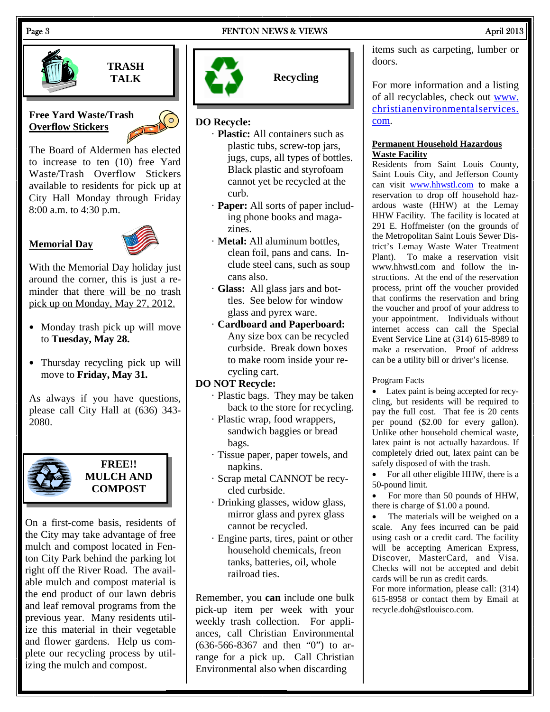#### Page 3 **FENTON NEWS & VIEWS** April 2013



**TRASH TALK** 

### **Free Yard Waste/Trash Overflow Stickers**

The Board of Aldermen has elected to increase to ten (10) free Yard Waste/Trash Overflow Stickers available to residents for pick up at City Hall Monday through Friday 8:00 a.m. to 4:30 p.m.

# **Memorial Day**



With the Memorial Day holiday just around the corner, this is just a reminder that there will be no trash pick up on Monday, May 27, 2012.

- Monday trash pick up will move to **Tuesday, May 28.**
- Thursday recycling pick up will move to **Friday, May 31.**

As always if you have questions, please call City Hall at (636) 343- 2080.



# **FREE!! MULCH AND COMPOST**

On a first-come basis, residents of the City may take advantage of free mulch and compost located in Fenton City Park behind the parking lot right off the River Road. The available mulch and compost material is the end product of our lawn debris and leaf removal programs from the previous year. Many residents utilize this material in their vegetable and flower gardens. Help us complete our recycling process by utilizing the mulch and compost.



**Recycling** 

# **DO Recycle:**

- · **Plastic:** All containers such as plastic tubs, screw-top jars, jugs, cups, all types of bottles. Black plastic and styrofoam cannot yet be recycled at the curb.
- · **Paper:** All sorts of paper including phone books and magazines.
- · **Metal:** All aluminum bottles, clean foil, pans and cans. Include steel cans, such as soup cans also.
- · **Glass:** All glass jars and bottles. See below for window glass and pyrex ware.
- · **Cardboard and Paperboard:** Any size box can be recycled curbside. Break down boxes to make room inside your recycling cart.

### **DO NOT Recycle:**

- · Plastic bags. They may be taken back to the store for recycling.
- · Plastic wrap, food wrappers, sandwich baggies or bread bags.
- · Tissue paper, paper towels, and napkins.
- · Scrap metal CANNOT be recycled curbside.
- · Drinking glasses, widow glass, mirror glass and pyrex glass cannot be recycled.
- · Engine parts, tires, paint or other household chemicals, freon tanks, batteries, oil, whole railroad ties.

Remember, you **can** include one bulk pick-up item per week with your weekly trash collection. For appliances, call Christian Environmental (636-566-8367 and then "0") to arrange for a pick up. Call Christian Environmental also when discarding

items such as carpeting, lumber or doors.

For more information and a listing of all recyclables, check out www. christianenvironmentalservices. com.

#### **Permanent Household Hazardous Waste Facility**

Residents from Saint Louis County, Saint Louis City, and Jefferson County can visit www.hhwstl.com to make a reservation to drop off household hazardous waste (HHW) at the Lemay HHW Facility. The facility is located at 291 E. Hoffmeister (on the grounds of the Metropolitan Saint Louis Sewer District's Lemay Waste Water Treatment Plant). To make a reservation visit www.hhwstl.com and follow the instructions. At the end of the reservation process, print off the voucher provided that confirms the reservation and bring the voucher and proof of your address to your appointment. Individuals without internet access can call the Special Event Service Line at (314) 615-8989 to make a reservation. Proof of address can be a utility bill or driver's license.

#### Program Facts

 Latex paint is being accepted for recycling, but residents will be required to pay the full cost. That fee is 20 cents per pound (\$2.00 for every gallon). Unlike other household chemical waste, latex paint is not actually hazardous. If completely dried out, latex paint can be safely disposed of with the trash.

 For all other eligible HHW, there is a 50-pound limit.

 For more than 50 pounds of HHW, there is charge of \$1.00 a pound.

 The materials will be weighed on a scale. Any fees incurred can be paid using cash or a credit card. The facility will be accepting American Express, Discover, MasterCard, and Visa. Checks will not be accepted and debit cards will be run as credit cards.

For more information, please call: (314) 615-8958 or contact them by Email at recycle.doh@stlouisco.com.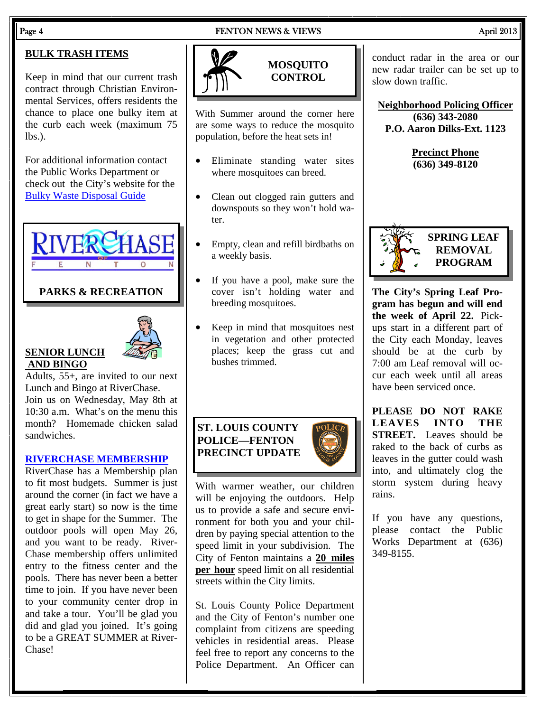#### Page 4 FENTON NEWS & VIEWS April 2013

# **BULK TRASH ITEMS**

Keep in mind that our current trash contract through Christian Environmental Services, offers residents the chance to place one bulky item at the curb each week (maximum 75  $lbs.$ ).

For additional information contact the Public Works Department or check out the City's website for the Bulky Waste Disposal Guide

VER(

### **PARKS & RECREATION**



# **SENIOR LUNCH AND BINGO**

Adults, 55+, are invited to our next Lunch and Bingo at RiverChase. Join us on Wednesday, May 8th at 10:30 a.m. What's on the menu this month? Homemade chicken salad sandwiches.

### **RIVERCHASE MEMBERSHIP**

RiverChase has a Membership plan to fit most budgets. Summer is just around the corner (in fact we have a great early start) so now is the time to get in shape for the Summer. The outdoor pools will open May 26, and you want to be ready. River-Chase membership offers unlimited entry to the fitness center and the pools. There has never been a better time to join. If you have never been to your community center drop in and take a tour. You'll be glad you did and glad you joined. It's going to be a GREAT SUMMER at River-Chase!

# **MOSQUITO CONTROL**

With Summer around the corner here are some ways to reduce the mosquito population, before the heat sets in!

- Eliminate standing water sites where mosquitoes can breed.
- Clean out clogged rain gutters and downspouts so they won't hold water.
- Empty, clean and refill birdbaths on a weekly basis.
- If you have a pool, make sure the cover isn't holding water and breeding mosquitoes.
- Keep in mind that mosquitoes nest in vegetation and other protected places; keep the grass cut and bushes trimmed.

# **ST. LOUIS COUNTY POLICE—FENTON PRECINCT UPDATE**



St. Louis County Police Department and the City of Fenton's number one complaint from citizens are speeding vehicles in residential areas. Please feel free to report any concerns to the Police Department. An Officer can conduct radar in the area or our new radar trailer can be set up to slow down traffic.

**Neighborhood Policing Officer (636) 343-2080 P.O. Aaron Dilks-Ext. 1123** 

> **Precinct Phone (636) 349-8120**



**REMOVAL PROGRAM** 

**The City's Spring Leaf Program has begun and will end the week of April 22.** Pickups start in a different part of the City each Monday, leaves should be at the curb by 7:00 am Leaf removal will occur each week until all areas have been serviced once.

**PLEASE DO NOT RAKE LEAVES INTO THE STREET.** Leaves should be raked to the back of curbs as leaves in the gutter could wash into, and ultimately clog the storm system during heavy rains.

If you have any questions, please contact the Public Works Department at (636) 349-8155.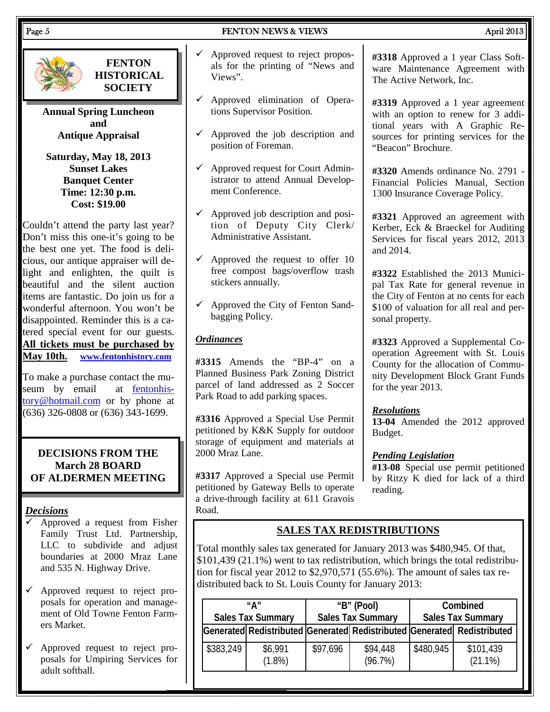#### Page 5 **FENTON NEWS & VIEWS** April 2013



**FENTON HISTORICAL SOCIETY** 

**Annual Spring Luncheon and Antique Appraisal** 

**Saturday, May 18, 2013 Sunset Lakes Banquet Center Time: 12:30 p.m. Cost: \$19.00** 

Couldn't attend the party last year? Don't miss this one-it's going to be the best one yet. The food is delicious, our antique appraiser will delight and enlighten, the quilt is beautiful and the silent auction items are fantastic. Do join us for a wonderful afternoon. You won't be disappointed. Reminder this is a catered special event for our guests. **All tickets must be purchased by May 10th. www.fentonhistory.com**

To make a purchase contact the museum by email at fentonhistory@hotmail.com or by phone at (636) 326-0808 or (636) 343-1699.

### **DECISIONS FROM THE March 28 BOARD OF ALDERMEN MEETING**

### *Decisions*

- Approved a request from Fisher Family Trust Ltd. Partnership, LLC to subdivide and adjust boundaries at 2000 Mraz Lane and 535 N. Highway Drive.
- $\checkmark$  Approved request to reject proposals for operation and management of Old Towne Fenton Farmers Market.
- Approved request to reject proposals for Umpiring Services for adult softball.
- $\checkmark$  Approved request to reject proposals for the printing of "News and Views".
- $\checkmark$  Approved elimination of Operations Supervisor Position.
- $\checkmark$  Approved the job description and position of Foreman.
- $\checkmark$  Approved request for Court Administrator to attend Annual Development Conference.
- $\checkmark$  Approved job description and position of Deputy City Clerk/ Administrative Assistant.
- $\checkmark$  Approved the request to offer 10 free compost bags/overflow trash stickers annually.
- $\checkmark$  Approved the City of Fenton Sandbagging Policy.

### *Ordinances*

**#3315** Amends the "BP-4" on a Planned Business Park Zoning District parcel of land addressed as 2 Soccer Park Road to add parking spaces.

**#3316** Approved a Special Use Permit petitioned by K&K Supply for outdoor storage of equipment and materials at 2000 Mraz Lane.

**#3317** Approved a Special use Permit petitioned by Gateway Bells to operate a drive-through facility at 611 Gravois Road.

**#3318** Approved a 1 year Class Software Maintenance Agreement with The Active Network, Inc.

**#3319** Approved a 1 year agreement with an option to renew for 3 additional years with A Graphic Resources for printing services for the "Beacon" Brochure.

**#3320** Amends ordinance No. 2791 - Financial Policies Manual, Section 1300 Insurance Coverage Policy.

**#3321** Approved an agreement with Kerber, Eck & Braeckel for Auditing Services for fiscal years 2012, 2013 and 2014.

**#3322** Established the 2013 Municipal Tax Rate for general revenue in the City of Fenton at no cents for each \$100 of valuation for all real and personal property.

**#3323** Approved a Supplemental Cooperation Agreement with St. Louis County for the allocation of Community Development Block Grant Funds for the year 2013.

# *Resolutions*

**13-04** Amended the 2012 approved Budget.

# *Pending Legislation*

**#13-08** Special use permit petitioned by Ritzy K died for lack of a third reading.

# **SALES TAX REDISTRIBUTIONS**

Total monthly sales tax generated for January 2013 was \$480,945. Of that, \$101,439 (21.1%) went to tax redistribution, which brings the total redistribution for fiscal year 2012 to \$2,970,571 (55.6%). The amount of sales tax redistributed back to St. Louis County for January 2013:

|           | "А"<br><b>Sales Tax Summary</b> | "B" (Pool)<br><b>Sales Tax Summary</b> |                                                                         | Combined<br><b>Sales Tax Summary</b> |                         |
|-----------|---------------------------------|----------------------------------------|-------------------------------------------------------------------------|--------------------------------------|-------------------------|
|           |                                 |                                        | Generated Redistributed Generated Redistributed Generated Redistributed |                                      |                         |
| \$383,249 | \$6,991<br>$(1.8\%)$            | \$97,696                               | \$94,448<br>(96.7%)                                                     | \$480,945                            | \$101,439<br>$(21.1\%)$ |